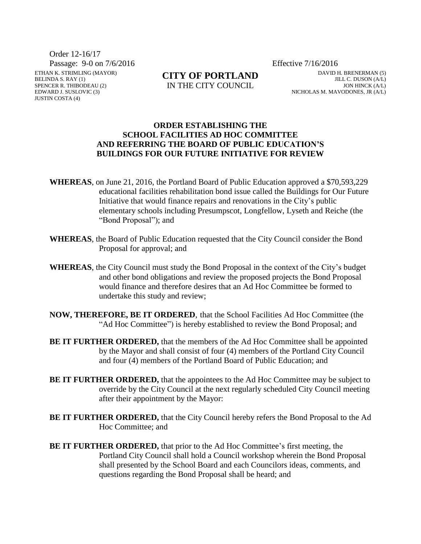Order 12-16/17

Passage: 9-0 on 7/6/2016 Effective 7/16/2016

ETHAN K. STRIMLING (MAYOR) BELINDA S. RAY (1) SPENCER R. THIBODEAU (2) EDWARD J. SUSLOVIC (3) JUSTIN COSTA (4)

**CITY OF PORTLAND**

IN THE CITY COUNCIL

DAVID H. BRENERMAN (5) JILL C. DUSON (A/L) JON HINCK (A/L) NICHOLAS M. MAVODONES, JR (A/L)

## **ORDER ESTABLISHING THE SCHOOL FACILITIES AD HOC COMMITTEE AND REFERRING THE BOARD OF PUBLIC EDUCATION'S BUILDINGS FOR OUR FUTURE INITIATIVE FOR REVIEW**

- **WHEREAS**, on June 21, 2016, the Portland Board of Public Education approved a \$70,593,229 educational facilities rehabilitation bond issue called the Buildings for Our Future Initiative that would finance repairs and renovations in the City's public elementary schools including Presumpscot, Longfellow, Lyseth and Reiche (the "Bond Proposal"); and
- **WHEREAS**, the Board of Public Education requested that the City Council consider the Bond Proposal for approval; and
- **WHEREAS**, the City Council must study the Bond Proposal in the context of the City's budget and other bond obligations and review the proposed projects the Bond Proposal would finance and therefore desires that an Ad Hoc Committee be formed to undertake this study and review;
- **NOW, THEREFORE, BE IT ORDERED**, that the School Facilities Ad Hoc Committee (the "Ad Hoc Committee") is hereby established to review the Bond Proposal; and
- **BE IT FURTHER ORDERED,** that the members of the Ad Hoc Committee shall be appointed by the Mayor and shall consist of four (4) members of the Portland City Council and four (4) members of the Portland Board of Public Education; and
- **BE IT FURTHER ORDERED, that the appointees to the Ad Hoc Committee may be subject to** override by the City Council at the next regularly scheduled City Council meeting after their appointment by the Mayor:
- **BE IT FURTHER ORDERED,** that the City Council hereby refers the Bond Proposal to the Ad Hoc Committee; and
- **BE IT FURTHER ORDERED,** that prior to the Ad Hoc Committee's first meeting, the Portland City Council shall hold a Council workshop wherein the Bond Proposal shall presented by the School Board and each Councilors ideas, comments, and questions regarding the Bond Proposal shall be heard; and